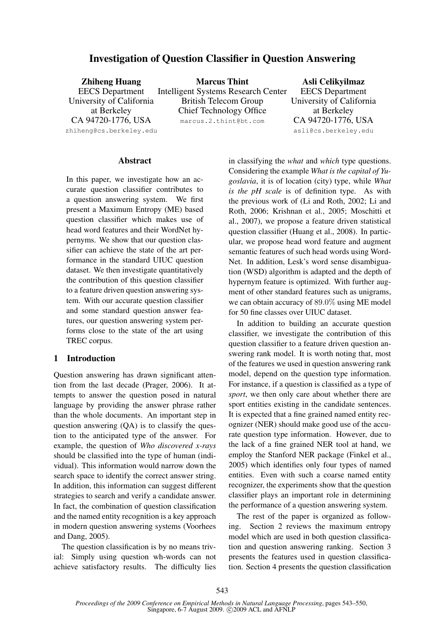# **Investigation of Question Classifier in Question Answering**

| <b>Zhiheng Huang</b>     | <b>Marcus Thint</b>                        | Asli Celikyilmaz         |
|--------------------------|--------------------------------------------|--------------------------|
| <b>EECS</b> Department   | <b>Intelligent Systems Research Center</b> | <b>EECS</b> Department   |
| University of California | <b>British Telecom Group</b>               | University of California |
| at Berkeley              | <b>Chief Technology Office</b>             | at Berkeley              |
| CA 94720-1776, USA       | marcus.2.thint@bt.com                      | CA 94720-1776, USA       |
| zhiheng@cs.berkeley.edu  |                                            | asli@cs.berkeley.edu     |
|                          |                                            |                          |

#### **Abstract**

In this paper, we investigate how an accurate question classifier contributes to a question answering system. We first present a Maximum Entropy (ME) based question classifier which makes use of head word features and their WordNet hypernyms. We show that our question classifier can achieve the state of the art performance in the standard UIUC question dataset. We then investigate quantitatively the contribution of this question classifier to a feature driven question answering system. With our accurate question classifier and some standard question answer features, our question answering system performs close to the state of the art using TREC corpus.

# **1 Introduction**

Question answering has drawn significant attention from the last decade (Prager, 2006). It attempts to answer the question posed in natural language by providing the answer phrase rather than the whole documents. An important step in question answering (QA) is to classify the question to the anticipated type of the answer. For example, the question of *Who discovered x-rays* should be classified into the type of human (individual). This information would narrow down the search space to identify the correct answer string. In addition, this information can suggest different strategies to search and verify a candidate answer. In fact, the combination of question classification and the named entity recognition is a key approach in modern question answering systems (Voorhees and Dang, 2005).

The question classification is by no means trivial: Simply using question wh-words can not achieve satisfactory results. The difficulty lies in classifying the *what* and *which* type questions. Considering the example *What is the capital of Yugoslavia*, it is of location (city) type, while *What is the pH scale* is of definition type. As with the previous work of (Li and Roth, 2002; Li and Roth, 2006; Krishnan et al., 2005; Moschitti et al., 2007), we propose a feature driven statistical question classifier (Huang et al., 2008). In particular, we propose head word feature and augment semantic features of such head words using Word-Net. In addition, Lesk's word sense disambiguation (WSD) algorithm is adapted and the depth of hypernym feature is optimized. With further augment of other standard features such as unigrams, we can obtain accuracy of 89.0% using ME model for 50 fine classes over UIUC dataset.

In addition to building an accurate question classifier, we investigate the contribution of this question classifier to a feature driven question answering rank model. It is worth noting that, most of the features we used in question answering rank model, depend on the question type information. For instance, if a question is classified as a type of *sport*, we then only care about whether there are sport entities existing in the candidate sentences. It is expected that a fine grained named entity recognizer (NER) should make good use of the accurate question type information. However, due to the lack of a fine grained NER tool at hand, we employ the Stanford NER package (Finkel et al., 2005) which identifies only four types of named entities. Even with such a coarse named entity recognizer, the experiments show that the question classifier plays an important role in determining the performance of a question answering system.

The rest of the paper is organized as following. Section 2 reviews the maximum entropy model which are used in both question classification and question answering ranking. Section 3 presents the features used in question classification. Section 4 presents the question classification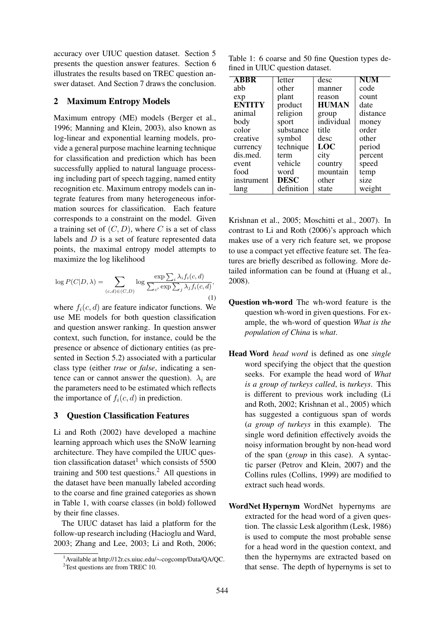accuracy over UIUC question dataset. Section 5 presents the question answer features. Section 6 illustrates the results based on TREC question answer dataset. And Section 7 draws the conclusion.

# **2 Maximum Entropy Models**

Maximum entropy (ME) models (Berger et al., 1996; Manning and Klein, 2003), also known as log-linear and exponential learning models, provide a general purpose machine learning technique for classification and prediction which has been successfully applied to natural language processing including part of speech tagging, named entity recognition etc. Maximum entropy models can integrate features from many heterogeneous information sources for classification. Each feature corresponds to a constraint on the model. Given a training set of  $(C, D)$ , where C is a set of class labels and  $D$  is a set of feature represented data points, the maximal entropy model attempts to maximize the log likelihood

$$
\log P(C|D,\lambda) = \sum_{(c,d)\in (C,D)} \log \frac{\exp \sum_{i} \lambda_i f_i(c,d)}{\sum_{c'} \exp \sum_{j} \lambda_j f_i(c,d)},\tag{1}
$$

where  $f_i(c, d)$  are feature indicator functions. We use ME models for both question classification and question answer ranking. In question answer context, such function, for instance, could be the presence or absence of dictionary entities (as presented in Section 5.2) associated with a particular class type (either *true* or *false*, indicating a sentence can or cannot answer the question).  $\lambda_i$  are the parameters need to be estimated which reflects the importance of  $f_i(c, d)$  in prediction.

## **3 Question Classification Features**

Li and Roth (2002) have developed a machine learning approach which uses the SNoW learning architecture. They have compiled the UIUC question classification dataset<sup>1</sup> which consists of  $5500$ training and 500 test questions.<sup>2</sup> All questions in the dataset have been manually labeled according to the coarse and fine grained categories as shown in Table 1, with coarse classes (in bold) followed by their fine classes.

The UIUC dataset has laid a platform for the follow-up research including (Hacioglu and Ward, 2003; Zhang and Lee, 2003; Li and Roth, 2006;

Table 1: 6 coarse and 50 fine Question types defined in UIUC question dataset.

| <b>ABBR</b>   | letter      | desc         | NUM      |
|---------------|-------------|--------------|----------|
| abb           | other       | manner       | code     |
| exp           | plant       | reason       | count    |
| <b>ENTITY</b> | product     | <b>HUMAN</b> | date     |
| animal        | religion    | group        | distance |
| body          | sport       | individual   | money    |
| color         | substance   | title        | order    |
| creative      | symbol      | desc         | other    |
| currency      | technique   | <b>LOC</b>   | period   |
| dis.med.      | term        | city         | percent  |
| event         | vehicle     | country      | speed    |
| food          | word        | mountain     | temp     |
| instrument    | <b>DESC</b> | other        | size     |
| lang          | definition  | state        | weight   |

Krishnan et al., 2005; Moschitti et al., 2007). In contrast to Li and Roth (2006)'s approach which makes use of a very rich feature set, we propose to use a compact yet effective feature set. The features are briefly described as following. More detailed information can be found at (Huang et al., 2008).

- **Question wh-word** The wh-word feature is the question wh-word in given questions. For example, the wh-word of question *What is the population of China* is *what*.
- **Head Word** *head word* is defined as one *single* word specifying the object that the question seeks. For example the head word of *What is a group of turkeys called*, is *turkeys*. This is different to previous work including (Li and Roth, 2002; Krishnan et al., 2005) which has suggested a contiguous span of words (*a group of turkeys* in this example). The single word definition effectively avoids the noisy information brought by non-head word of the span (*group* in this case). A syntactic parser (Petrov and Klein, 2007) and the Collins rules (Collins, 1999) are modified to extract such head words.
- **WordNet Hypernym** WordNet hypernyms are extracted for the head word of a given question. The classic Lesk algorithm (Lesk, 1986) is used to compute the most probable sense for a head word in the question context, and then the hypernyms are extracted based on that sense. The depth of hypernyms is set to

<sup>1</sup>Available at http://12r.cs.uiuc.edu/∼cogcomp/Data/QA/QC. <sup>2</sup>Test questions are from TREC 10.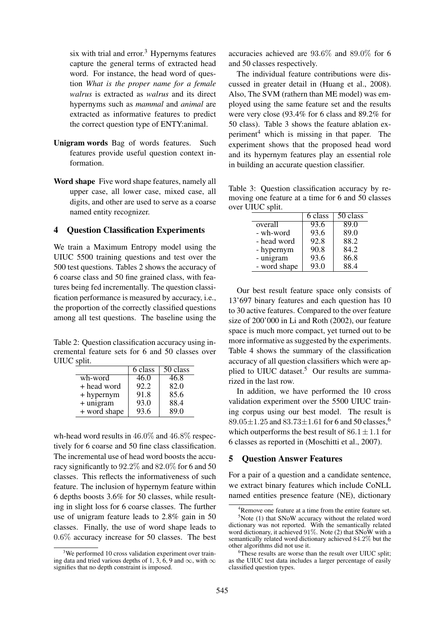six with trial and  $error<sup>3</sup>$  Hypernyms features capture the general terms of extracted head word. For instance, the head word of question *What is the proper name for a female walrus* is extracted as *walrus* and its direct hypernyms such as *mammal* and *animal* are extracted as informative features to predict the correct question type of ENTY:animal.

- **Unigram words** Bag of words features. Such features provide useful question context information.
- **Word shape** Five word shape features, namely all upper case, all lower case, mixed case, all digits, and other are used to serve as a coarse named entity recognizer.

### **4 Question Classification Experiments**

We train a Maximum Entropy model using the UIUC 5500 training questions and test over the 500 test questions. Tables 2 shows the accuracy of 6 coarse class and 50 fine grained class, with features being fed incrementally. The question classification performance is measured by accuracy, i.e., the proportion of the correctly classified questions among all test questions. The baseline using the

Table 2: Question classification accuracy using incremental feature sets for 6 and 50 classes over UIUC split.

|              | 6 class | $\overline{50}$ class |
|--------------|---------|-----------------------|
| wh-word      | 46.0    | 46.8                  |
| + head word  | 92.2    | 82.0                  |
| + hypernym   | 91.8    | 85.6                  |
| + unigram    | 93.0    | 88.4                  |
| + word shape | 93.6    | 89.0                  |

wh-head word results in  $46.0\%$  and  $46.8\%$  respectively for 6 coarse and 50 fine class classification. The incremental use of head word boosts the accuracy significantly to 92.2% and 82.0% for 6 and 50 classes. This reflects the informativeness of such feature. The inclusion of hypernym feature within 6 depths boosts 3.6% for 50 classes, while resulting in slight loss for 6 coarse classes. The further use of unigram feature leads to 2.8% gain in 50 classes. Finally, the use of word shape leads to 0.6% accuracy increase for 50 classes. The best accuracies achieved are 93.6% and 89.0% for 6 and 50 classes respectively.

The individual feature contributions were discussed in greater detail in (Huang et al., 2008). Also, The SVM (rathern than ME model) was employed using the same feature set and the results were very close (93.4% for 6 class and 89.2% for 50 class). Table 3 shows the feature ablation experiment<sup>4</sup> which is missing in that paper. The experiment shows that the proposed head word and its hypernym features play an essential role in building an accurate question classifier.

Table 3: Question classification accuracy by removing one feature at a time for 6 and 50 classes over UIUC split.

|              | 6 class | 50 class |
|--------------|---------|----------|
| overall      | 93.6    | 89.0     |
| - wh-word    | 93.6    | 89.0     |
| - head word  | 92.8    | 88.2     |
| - hypernym   | 90.8    | 84.2     |
| - unigram    | 93.6    | 86.8     |
| - word shape | 93.0    | 88.4     |

Our best result feature space only consists of 13'697 binary features and each question has 10 to 30 active features. Compared to the over feature size of 200'000 in Li and Roth (2002), our feature space is much more compact, yet turned out to be more informative as suggested by the experiments. Table 4 shows the summary of the classification accuracy of all question classifiers which were applied to UIUC dataset.<sup>5</sup> Our results are summarized in the last row.

In addition, we have performed the 10 cross validation experiment over the 5500 UIUC training corpus using our best model. The result is  $89.05 \pm 1.25$  and  $83.73 \pm 1.61$  for 6 and 50 classes,<sup>6</sup> which outperforms the best result of  $86.1 \pm 1.1$  for 6 classes as reported in (Moschitti et al., 2007).

#### **5 Question Answer Features**

For a pair of a question and a candidate sentence, we extract binary features which include CoNLL named entities presence feature (NE), dictionary

<sup>&</sup>lt;sup>3</sup>We performed 10 cross validation experiment over training data and tried various depths of 1, 3, 6, 9 and  $\infty$ , with  $\infty$ signifies that no depth constraint is imposed.

<sup>&</sup>lt;sup>4</sup>Remove one feature at a time from the entire feature set.  $5$ Note (1) that SNoW accuracy without the related word dictionary was not reported. With the semantically related word dictionary, it achieved 91%. Note (2) that SNoW with a semantically related word dictionary achieved 84.2% but the other algorithms did not use it.

<sup>&</sup>lt;sup>6</sup>These results are worse than the result over UIUC split; as the UIUC test data includes a larger percentage of easily classified question types.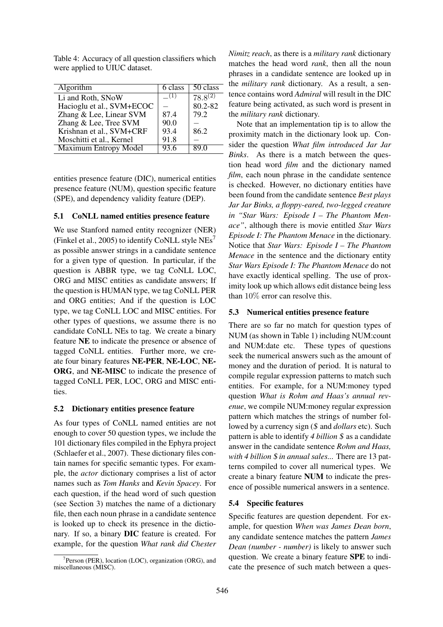Table 4: Accuracy of all question classifiers which were applied to UIUC dataset.

| Algorithm                    | 6 class | 50 class     |
|------------------------------|---------|--------------|
| Li and Roth, SNoW            | (1)     | $78.8^{(2)}$ |
| Hacioglu et al., SVM+ECOC    |         | 80.2-82      |
| Zhang & Lee, Linear SVM      | 87.4    | 79.2         |
| Zhang & Lee, Tree SVM        | 90.0    |              |
| Krishnan et al., SVM+CRF     | 93.4    | 86.2         |
| Moschitti et al., Kernel     | 91.8    |              |
| <b>Maximum Entropy Model</b> | 93.6    |              |

entities presence feature (DIC), numerical entities presence feature (NUM), question specific feature (SPE), and dependency validity feature (DEP).

#### **5.1 CoNLL named entities presence feature**

We use Stanford named entity recognizer (NER) (Finkel et al., 2005) to identify CoNLL style  $NEs<sup>7</sup>$ as possible answer strings in a candidate sentence for a given type of question. In particular, if the question is ABBR type, we tag CoNLL LOC, ORG and MISC entities as candidate answers; If the question is HUMAN type, we tag CoNLL PER and ORG entities; And if the question is LOC type, we tag CoNLL LOC and MISC entities. For other types of questions, we assume there is no candidate CoNLL NEs to tag. We create a binary feature **NE** to indicate the presence or absence of tagged CoNLL entities. Further more, we create four binary features **NE-PER**, **NE-LOC**, **NE-ORG**, and **NE-MISC** to indicate the presence of tagged CoNLL PER, LOC, ORG and MISC entities.

#### **5.2 Dictionary entities presence feature**

As four types of CoNLL named entities are not enough to cover 50 question types, we include the 101 dictionary files compiled in the Ephyra project (Schlaefer et al., 2007). These dictionary files contain names for specific semantic types. For example, the *actor* dictionary comprises a list of actor names such as *Tom Hanks* and *Kevin Spacey*. For each question, if the head word of such question (see Section 3) matches the name of a dictionary file, then each noun phrase in a candidate sentence is looked up to check its presence in the dictionary. If so, a binary **DIC** feature is created. For example, for the question *What rank did Chester*

*Nimitz reach*, as there is a *military rank* dictionary matches the head word *rank*, then all the noun phrases in a candidate sentence are looked up in the *military rank* dictionary. As a result, a sentence contains word *Admiral* will result in the DIC feature being activated, as such word is present in the *military rank* dictionary.

Note that an implementation tip is to allow the proximity match in the dictionary look up. Consider the question *What film introduced Jar Jar Binks*. As there is a match between the question head word *film* and the dictionary named *film*, each noun phrase in the candidate sentence is checked. However, no dictionary entities have been found from the candidate sentence *Best plays Jar Jar Binks, a floppy-eared, two-legged creature in "Star Wars: Episode I – The Phantom Menace"*, although there is movie entitled *Star Wars Episode I: The Phantom Menace* in the dictionary. Notice that *Star Wars: Episode I – The Phantom Menace* in the sentence and the dictionary entity *Star Wars Episode I: The Phantom Menace* do not have exactly identical spelling. The use of proximity look up which allows edit distance being less than 10% error can resolve this.

#### **5.3 Numerical entities presence feature**

There are so far no match for question types of NUM (as shown in Table 1) including NUM:count and NUM:date etc. These types of questions seek the numerical answers such as the amount of money and the duration of period. It is natural to compile regular expression patterns to match such entities. For example, for a NUM:money typed question *What is Rohm and Haas's annual revenue*, we compile NUM:money regular expression pattern which matches the strings of number followed by a currency sign (\$ and *dollars* etc). Such pattern is able to identify *4 billion* \$ as a candidate answer in the candidate sentence *Rohm and Haas, with 4 billion* \$ *in annual sales...* There are 13 patterns compiled to cover all numerical types. We create a binary feature **NUM** to indicate the presence of possible numerical answers in a sentence.

## **5.4 Specific features**

Specific features are question dependent. For example, for question *When was James Dean born*, any candidate sentence matches the pattern *James Dean (number - number)* is likely to answer such question. We create a binary feature **SPE** to indicate the presence of such match between a ques-

<sup>&</sup>lt;sup>7</sup> Person (PER), location (LOC), organization (ORG), and miscellaneous (MISC).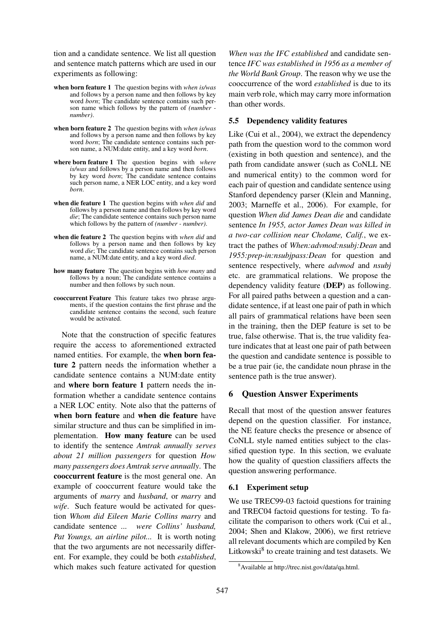tion and a candidate sentence. We list all question and sentence match patterns which are used in our experiments as following:

- **when born feature 1** The question begins with *when is/was* and follows by a person name and then follows by key word *born*; The candidate sentence contains such person name which follows by the pattern of *(number number)*.
- **when born feature 2** The question begins with *when is/was* and follows by a person name and then follows by key word *born*; The candidate sentence contains such person name, a NUM:date entity, and a key word *born*.
- **where born feature 1** The question begins with *where is/was* and follows by a person name and then follows by key word *born*; The candidate sentence contains such person name, a NER LOC entity, and a key word *born*.
- **when die feature 1** The question begins with *when did* and follows by a person name and then follows by key word *die*; The candidate sentence contains such person name which follows by the pattern of *(number - number)*.
- **when die feature 2** The question begins with *when did* and follows by a person name and then follows by key word *die*; The candidate sentence contains such person name, a NUM:date entity, and a key word *died*.
- **how many feature** The question begins with *how many* and follows by a noun; The candidate sentence contains a number and then follows by such noun.
- **cooccurrent Feature** This feature takes two phrase arguments, if the question contains the first phrase and the candidate sentence contains the second, such feature would be activated.

Note that the construction of specific features require the access to aforementioned extracted named entities. For example, the **when born feature 2** pattern needs the information whether a candidate sentence contains a NUM:date entity and **where born feature 1** pattern needs the information whether a candidate sentence contains a NER LOC entity. Note also that the patterns of **when born feature** and **when die feature** have similar structure and thus can be simplified in implementation. **How many feature** can be used to identify the sentence *Amtrak annually serves about 21 million passengers* for question *How many passengers does Amtrak serve annually*. The **cooccurrent feature** is the most general one. An example of cooccurrent feature would take the arguments of *marry* and *husband*, or *marry* and *wife*. Such feature would be activated for question *Whom did Eileen Marie Collins marry* and candidate sentence *... were Collins' husband, Pat Youngs, an airline pilot...* It is worth noting that the two arguments are not necessarily different. For example, they could be both *established*, which makes such feature activated for question *When was the IFC established* and candidate sentence *IFC was established in 1956 as a member of the World Bank Group*. The reason why we use the cooccurrence of the word *established* is due to its main verb role, which may carry more information than other words.

## **5.5 Dependency validity features**

Like (Cui et al., 2004), we extract the dependency path from the question word to the common word (existing in both question and sentence), and the path from candidate answer (such as CoNLL NE and numerical entity) to the common word for each pair of question and candidate sentence using Stanford dependency parser (Klein and Manning, 2003; Marneffe et al., 2006). For example, for question *When did James Dean die* and candidate sentence *In 1955, actor James Dean was killed in a two-car collision near Cholame, Calif.*, we extract the pathes of *When:advmod:nsubj:Dean* and *1955:prep-in:nsubjpass:Dean* for question and sentence respectively, where *advmod* and *nsubj* etc. are grammatical relations. We propose the dependency validity feature (**DEP**) as following. For all paired paths between a question and a candidate sentence, if at least one pair of path in which all pairs of grammatical relations have been seen in the training, then the DEP feature is set to be true, false otherwise. That is, the true validity feature indicates that at least one pair of path between the question and candidate sentence is possible to be a true pair (ie, the candidate noun phrase in the sentence path is the true answer).

## **6 Question Answer Experiments**

Recall that most of the question answer features depend on the question classifier. For instance, the NE feature checks the presence or absence of CoNLL style named entities subject to the classified question type. In this section, we evaluate how the quality of question classifiers affects the question answering performance.

# **6.1 Experiment setup**

We use TREC99-03 factoid questions for training and TREC04 factoid questions for testing. To facilitate the comparison to others work (Cui et al., 2004; Shen and Klakow, 2006), we first retrieve all relevant documents which are compiled by Ken Litkowski<sup>8</sup> to create training and test datasets. We

<sup>8</sup>Available at http://trec.nist.gov/data/qa.html.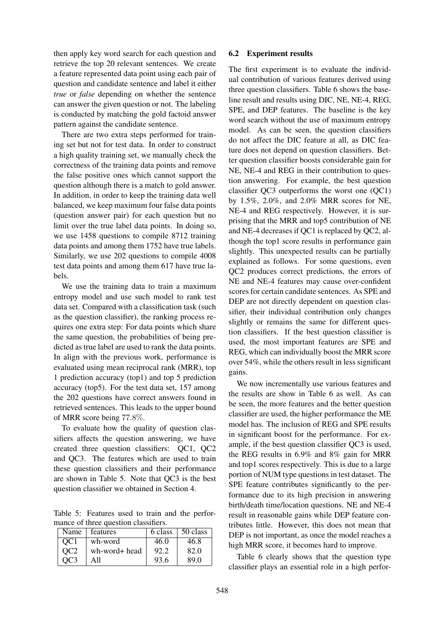then apply key word search for each question and retrieve the top 20 relevant sentences. We create a feature represented data point using each pair of question and candidate sentence and label it either *true* or *false* depending on whether the sentence can answer the given question or not. The labeling is conducted by matching the gold factoid answer pattern against the candidate sentence.

There are two extra steps performed for training set but not for test data. In order to construct a high quality training set, we manually check the correctness of the training data points and remove the false positive ones which cannot support the question although there is a match to gold answer. In addition, in order to keep the training data well balanced, we keep maximum four false data points (question answer pair) for each question but no limit over the true label data points. In doing so, we use 1458 questions to compile 8712 training data points and among them 1752 have true labels. Similarly, we use 202 questions to compile 4008 test data points and among them 617 have true labels.

We use the training data to train a maximum entropy model and use such model to rank test data set. Compared with a classification task (such as the question classifier), the ranking process requires one extra step: For data points which share the same question, the probabilities of being predicted as true label are used to rank the data points. In align with the previous work, performance is evaluated using mean reciprocal rank (MRR), top 1 prediction accuracy (top1) and top 5 prediction accuracy (top5). For the test data set, 157 among the 202 questions have correct answers found in retrieved sentences. This leads to the upper bound of MRR score being 77.8%.

To evaluate how the quality of question classifiers affects the question answering, we have created three question classifiers: QC1, QC2 and QC3. The features which are used to train these question classifiers and their performance are shown in Table 5. Note that QC3 is the best question classifier we obtained in Section 4.

Table 5: Features used to train and the performance of three question classifiers.

| Name            | features      | 6 class | 50 class |
|-----------------|---------------|---------|----------|
| OC <sub>1</sub> | wh-word       | 46.0    | 46.8     |
| OC <sub>2</sub> | wh-word+ head | 92.2    | 82.0     |
|                 | All           | 93.6    | 89 O     |

## **6.2 Experiment results**

The first experiment is to evaluate the individual contribution of various features derived using three question classifiers. Table 6 shows the baseline result and results using DIC, NE, NE-4, REG, SPE, and DEP features. The baseline is the key word search without the use of maximum entropy model. As can be seen, the question classifiers do not affect the DIC feature at all, as DIC feature does not depend on question classifiers. Better question classifier boosts considerable gain for NE, NE-4 and REG in their contribution to question answering. For example, the best question classifier QC3 outperforms the worst one (QC1) by 1.5%, 2.0%, and 2.0% MRR scores for NE, NE-4 and REG respectively. However, it is surprising that the MRR and top5 contribution of NE and NE-4 decreases if QC1 is replaced by QC2, although the top1 score results in performance gain slightly. This unexpected results can be partially explained as follows. For some questions, even QC2 produces correct predictions, the errors of NE and NE-4 features may cause over-confident scores for certain candidate sentences. As SPE and DEP are not directly dependent on question classifier, their individual contribution only changes slightly or remains the same for different question classifiers. If the best question classifier is used, the most important features are SPE and REG, which can individually boost the MRR score over 54%, while the others result in less significant gains.

We now incrementally use various features and the results are show in Table 6 as well. As can be seen, the more features and the better question classifier are used, the higher performance the ME model has. The inclusion of REG and SPE results in significant boost for the performance. For example, if the best question classifier QC3 is used, the REG results in 6.9% and 8% gain for MRR and top1 scores respectively. This is due to a large portion of NUM type questions in test dataset. The SPE feature contributes significantly to the performance due to its high precision in answering birth/death time/location questions. NE and NE-4 result in reasonable gains while DEP feature contributes little. However, this does not mean that DEP is not important, as once the model reaches a high MRR score, it becomes hard to improve.

Table 6 clearly shows that the question type classifier plays an essential role in a high perfor-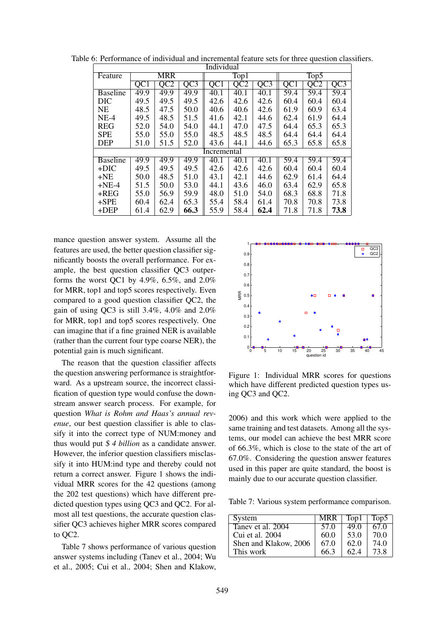| <b>Individual</b> |                 |                  |                          |                 |                          |                  |                   |                   |                  |
|-------------------|-----------------|------------------|--------------------------|-----------------|--------------------------|------------------|-------------------|-------------------|------------------|
| Feature           | MRR             |                  | $\overline{\text{Top}}1$ |                 | $\overline{\text{Top5}}$ |                  |                   |                   |                  |
|                   | QC <sub>1</sub> | $\overline{OC2}$ | $\overline{Q}C3$         | QC <sub>1</sub> | $\overline{QCD}$         | $\overline{Q}C3$ | QC1               | $\overline{OC2}$  | $\overline{Q}C3$ |
| <b>Baseline</b>   | 49.9            | 49.9             | 49.9                     | 40.1            | 40.1                     | 40.1             | $\overline{59.4}$ | $\overline{59.4}$ | 59.4             |
| <b>DIC</b>        | 49.5            | 49.5             | 49.5                     | 42.6            | 42.6                     | 42.6             | 60.4              | 60.4              | 60.4             |
| <b>NE</b>         | 48.5            | 47.5             | 50.0                     | 40.6            | 40.6                     | 42.6             | 61.9              | 60.9              | 63.4             |
| $NE-4$            | 49.5            | 48.5             | 51.5                     | 41.6            | 42.1                     | 44.6             | 62.4              | 61.9              | 64.4             |
| <b>REG</b>        | 52.0            | 54.0             | 54.0                     | 44.1            | 47.0                     | 47.5             | 64.4              | 65.3              | 65.3             |
| <b>SPE</b>        | 55.0            | 55.0             | 55.0                     | 48.5            | 48.5                     | 48.5             | 64.4              | 64.4              | 64.4             |
| <b>DEP</b>        | 51.0            | 51.5             | 52.0                     | 43.6            | 44.1                     | 44.6             | 65.3              | 65.8              | 65.8             |
|                   |                 |                  |                          | Incremental     |                          |                  |                   |                   |                  |
| <b>Baseline</b>   | 49.9            | 49.9             | 49.9                     | 40.1            | 40.1                     | 40.1             | 59.4              | 59.4              | 59.4             |
| $+DIC$            | 49.5            | 49.5             | 49.5                     | 42.6            | 42.6                     | 42.6             | 60.4              | 60.4              | 60.4             |
| $+NE$             | 50.0            | 48.5             | 51.0                     | 43.1            | 42.1                     | 44.6             | 62.9              | 61.4              | 64.4             |
| $+NE-4$           | 51.5            | 50.0             | 53.0                     | 44.1            | 43.6                     | 46.0             | 63.4              | 62.9              | 65.8             |
| $+REG$            | 55.0            | 56.9             | 59.9                     | 48.0            | 51.0                     | 54.0             | 68.3              | 68.8              | 71.8             |
| $+$ SPE           | 60.4            | 62.4             | 65.3                     | 55.4            | 58.4                     | 61.4             | 70.8              | 70.8              | 73.8             |
| $+$ DEP           | 61.4            | 62.9             | 66.3                     | 55.9            | 58.4                     | 62.4             | 71.8              | 71.8              | 73.8             |

Table 6: Performance of individual and incremental feature sets for three question classifiers.

mance question answer system. Assume all the features are used, the better question classifier significantly boosts the overall performance. For example, the best question classifier QC3 outperforms the worst QC1 by 4.9%,  $6.5\%$ , and  $2.0\%$ for MRR, top1 and top5 scores respectively. Even compared to a good question classifier QC2, the gain of using QC3 is still 3.4%, 4.0% and 2.0% for MRR, top1 and top5 scores respectively. One can imagine that if a fine grained NER is available (rather than the current four type coarse NER), the potential gain is much significant.

The reason that the question classifier affects the question answering performance is straightforward. As a upstream source, the incorrect classification of question type would confuse the downstream answer search process. For example, for question *What is Rohm and Haas's annual revenue*, our best question classifier is able to classify it into the correct type of NUM:money and thus would put \$ *4 billion* as a candidate answer. However, the inferior question classifiers misclassify it into HUM:ind type and thereby could not return a correct answer. Figure 1 shows the individual MRR scores for the 42 questions (among the 202 test questions) which have different predicted question types using QC3 and QC2. For almost all test questions, the accurate question classifier QC3 achieves higher MRR scores compared to QC2.

Table 7 shows performance of various question answer systems including (Tanev et al., 2004; Wu et al., 2005; Cui et al., 2004; Shen and Klakow,



Figure 1: Individual MRR scores for questions which have different predicted question types using QC3 and QC2.

2006) and this work which were applied to the same training and test datasets. Among all the systems, our model can achieve the best MRR score of 66.3%, which is close to the state of the art of 67.0%. Considering the question answer features used in this paper are quite standard, the boost is mainly due to our accurate question classifier.

Table 7: Various system performance comparison.

| System                | $MRR$ $Top1$ |      | Top5 |
|-----------------------|--------------|------|------|
| Taney et al. 2004     | 57.0         | 49.0 | 67.0 |
| Cui et al. 2004       | 60.0         | 53.0 | 70.0 |
| Shen and Klakow, 2006 | 67.0         | 62.0 | 74.0 |
| This work             | 66.3         | 62.4 | 73.8 |